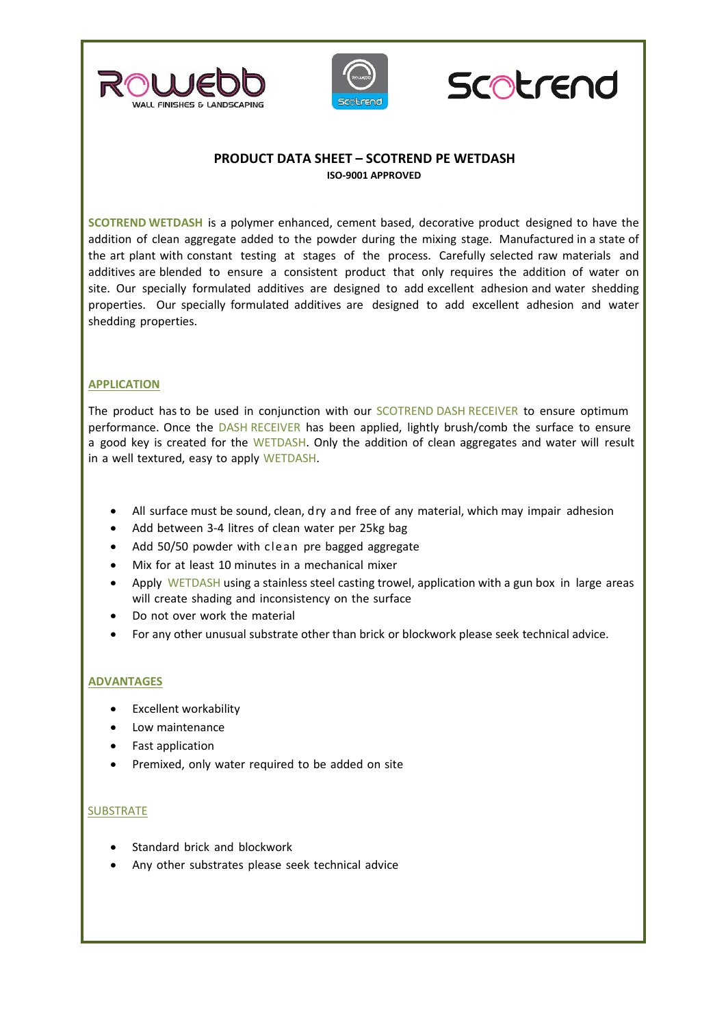





# **PRODUCT DATA SHEET – SCOTREND PE WETDASH ISO-9001 APPROVED**

**SCOTREND WETDASH** is a polymer enhanced, cement based, decorative product designed to have the addition of clean aggregate added to the powder during the mixing stage. Manufactured in a state of the art plant with constant testing at stages of the process. Carefully selected raw materials and additives are blended to ensure a consistent product that only requires the addition of water on site. Our specially formulated additives are designed to add excellent adhesion and water shedding properties. Our specially formulated additives are designed to add excellent adhesion and water shedding properties.

# **APPLICATION**

The product has to be used in conjunction with our SCOTREND DASH RECEIVER to ensure optimum performance. Once the DASH RECEIVER has been applied, lightly brush/comb the surface to ensure a good key is created for the WETDASH. Only the addition of clean aggregates and water will result in a well textured, easy to apply WETDASH.

- All surface must be sound, clean, dry and free of any material, which may impair adhesion
- Add between 3‐4 litres of clean water per 25kg bag
- Add 50/50 powder with cle an pre bagged aggregate
- Mix for at least 10 minutes in a mechanical mixer
- Apply WETDASH using a stainless steel casting trowel, application with a gun box in large areas will create shading and inconsistency on the surface
- Do not over work the material
- For any other unusual substrate other than brick or blockwork please seek technical advice.

## **ADVANTAGES**

- Excellent workability
- Low maintenance
- Fast application
- Premixed, only water required to be added on site

## **SUBSTRATE**

- Standard brick and blockwork
- Any other substrates please seek technical advice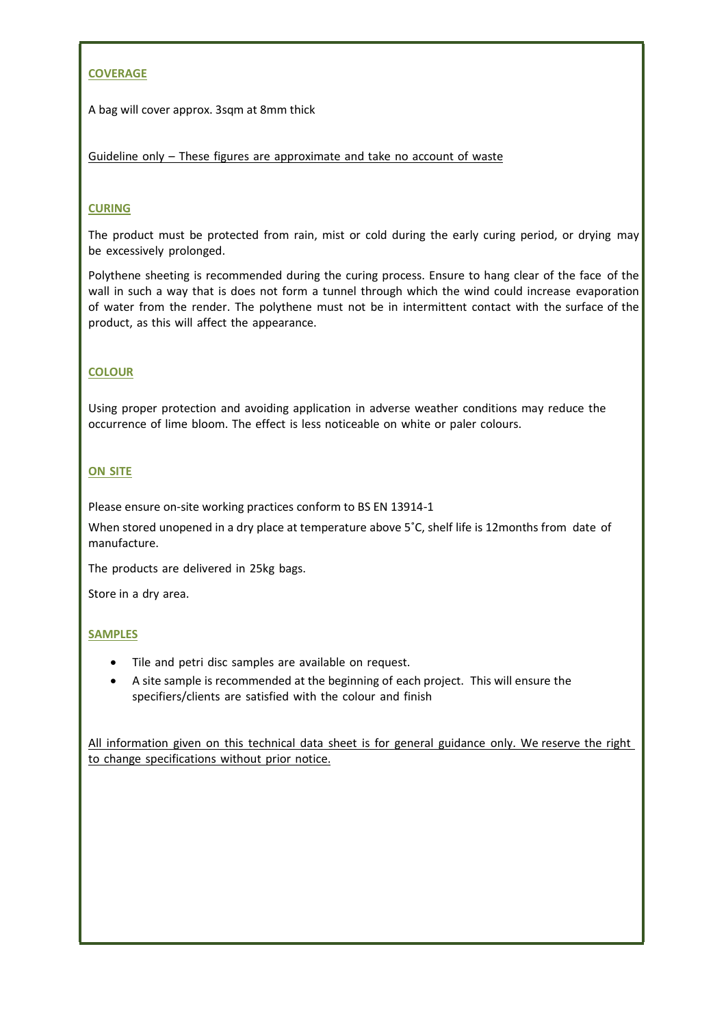# **COVERAGE**

A bag will cover approx. 3sqm at 8mm thick

Guideline only – These figures are approximate and take no account of waste

## **CURING**

The product must be protected from rain, mist or cold during the early curing period, or drying may be excessively prolonged.

Polythene sheeting is recommended during the curing process. Ensure to hang clear of the face of the wall in such a way that is does not form a tunnel through which the wind could increase evaporation of water from the render. The polythene must not be in intermittent contact with the surface of the product, as this will affect the appearance.

## **COLOUR**

Using proper protection and avoiding application in adverse weather conditions may reduce the occurrence of lime bloom. The effect is less noticeable on white or paler colours.

# **ON SITE**

Please ensure on-site working practices conform to BS EN 13914-1

When stored unopened in a dry place at temperature above 5°C, shelf life is 12months from date of manufacture.

The products are delivered in 25kg bags.

Store in a dry area.

## **SAMPLES**

- Tile and petri disc samples are available on request.
- A site sample is recommended at the beginning of each project. This will ensure the specifiers/clients are satisfied with the colour and finish

All information given on this technical data sheet is for general guidance only. We reserve the right to change specifications without prior notice.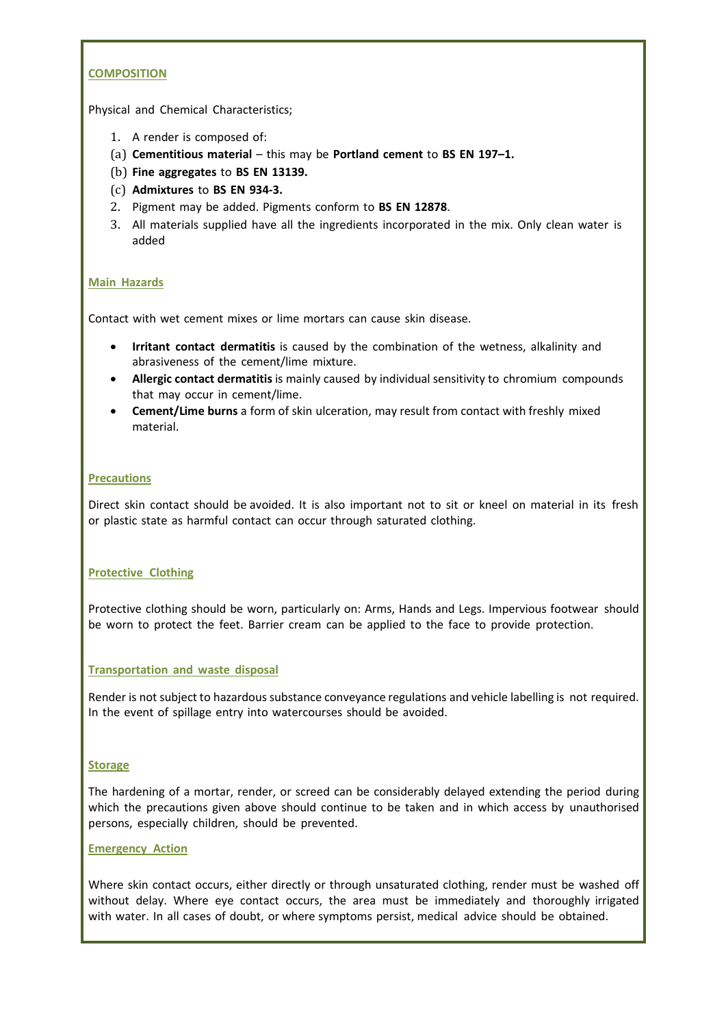## **COMPOSITION**

Physical and Chemical Characteristics;

- 1. A render is composed of:
- (a) **Cementitious material** this may be **Portland cement** to **BS EN 197–1.**
- (b) **Fine aggregates** to **BS EN 13139.**
- (c) **Admixtures** to **BS EN 934‐3.**
- 2. Pigment may be added. Pigments conform to **BS EN 12878**.
- 3. All materials supplied have all the ingredients incorporated in the mix. Only clean water is added

#### **Main Hazards**

Contact with wet cement mixes or lime mortars can cause skin disease.

- **Irritant contact dermatitis** is caused by the combination of the wetness, alkalinity and abrasiveness of the cement/lime mixture.
- **Allergic contact dermatitis** is mainly caused by individual sensitivity to chromium compounds that may occur in cement/lime.
- **Cement/Lime burns** a form of skin ulceration, may result from contact with freshly mixed material.

#### **Precautions**

Direct skin contact should be avoided. It is also important not to sit or kneel on material in its fresh or plastic state as harmful contact can occur through saturated clothing.

#### **Protective Clothing**

Protective clothing should be worn, particularly on: Arms, Hands and Legs. Impervious footwear should be worn to protect the feet. Barrier cream can be applied to the face to provide protection.

#### **Transportation and waste disposal**

Render is not subject to hazardous substance conveyance regulations and vehicle labelling is not required. In the event of spillage entry into watercourses should be avoided.

#### **Storage**

The hardening of a mortar, render, or screed can be considerably delayed extending the period during which the precautions given above should continue to be taken and in which access by unauthorised persons, especially children, should be prevented.

#### **Emergency Action**

Where skin contact occurs, either directly or through unsaturated clothing, render must be washed off without delay. Where eye contact occurs, the area must be immediately and thoroughly irrigated with water. In all cases of doubt, or where symptoms persist, medical advice should be obtained.